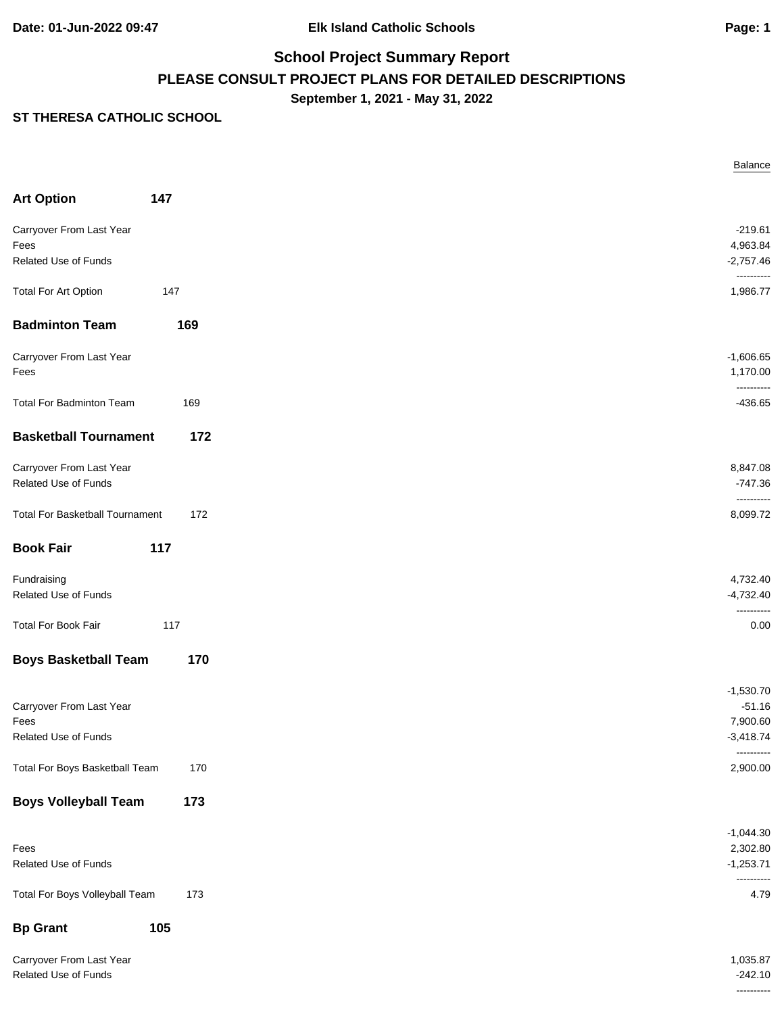----------

# **School Project Summary Report PLEASE CONSULT PROJECT PLANS FOR DETAILED DESCRIPTIONS September 1, 2021 - May 31, 2022**

|                                                  |     | Balance                 |
|--------------------------------------------------|-----|-------------------------|
| <b>Art Option</b>                                | 147 |                         |
| Carryover From Last Year                         |     | $-219.61$               |
| Fees                                             |     | 4,963.84                |
| Related Use of Funds                             |     | $-2,757.46$             |
|                                                  |     | ----------              |
| <b>Total For Art Option</b>                      | 147 | 1,986.77                |
| <b>Badminton Team</b>                            | 169 |                         |
| Carryover From Last Year                         |     | $-1,606.65$             |
| Fees                                             |     | 1,170.00                |
|                                                  |     | ----------              |
| <b>Total For Badminton Team</b>                  | 169 | $-436.65$               |
| <b>Basketball Tournament</b>                     | 172 |                         |
| Carryover From Last Year                         |     | 8,847.08                |
| Related Use of Funds                             |     | $-747.36$               |
|                                                  |     | ----------              |
| <b>Total For Basketball Tournament</b>           | 172 | 8,099.72                |
| <b>Book Fair</b>                                 | 117 |                         |
| Fundraising                                      |     | 4,732.40                |
| Related Use of Funds                             |     | $-4,732.40$             |
|                                                  |     | ----------              |
| <b>Total For Book Fair</b>                       | 117 | 0.00                    |
| <b>Boys Basketball Team</b>                      | 170 |                         |
|                                                  |     | $-1,530.70$             |
| Carryover From Last Year                         |     | $-51.16$                |
| Fees                                             |     | 7,900.60                |
| Related Use of Funds                             |     | $-3,418.74$             |
| Total For Boys Basketball Team                   | 170 | ----------<br>2,900.00  |
| <b>Boys Volleyball Team</b>                      | 173 |                         |
|                                                  |     |                         |
|                                                  |     | $-1,044.30$             |
| Fees<br>Related Use of Funds                     |     | 2,302.80<br>$-1,253.71$ |
|                                                  |     |                         |
| Total For Boys Volleyball Team                   | 173 | 4.79                    |
| <b>Bp Grant</b>                                  | 105 |                         |
|                                                  |     |                         |
| Carryover From Last Year<br>Related Use of Funds |     | 1,035.87<br>$-242.10$   |
|                                                  |     |                         |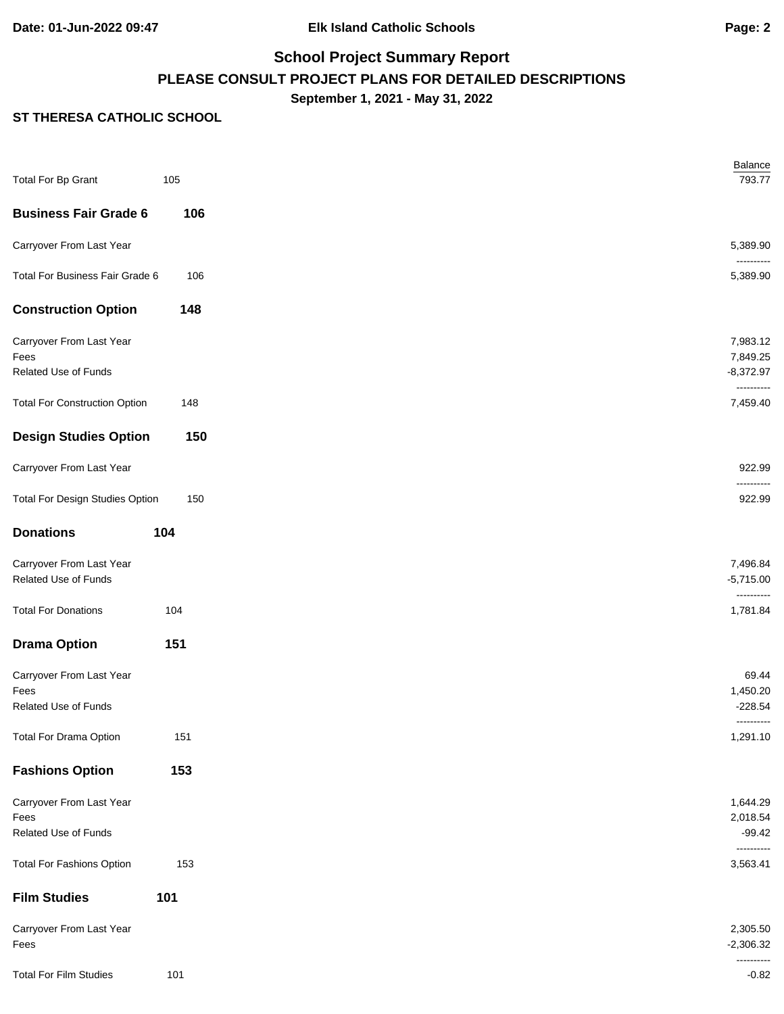# **School Project Summary Report PLEASE CONSULT PROJECT PLANS FOR DETAILED DESCRIPTIONS September 1, 2021 - May 31, 2022**

| <b>Total For Bp Grant</b>                        | 105 | Balance<br>793.77       |
|--------------------------------------------------|-----|-------------------------|
| <b>Business Fair Grade 6</b>                     | 106 |                         |
| Carryover From Last Year                         |     | 5,389.90                |
| Total For Business Fair Grade 6                  | 106 | 5,389.90                |
| <b>Construction Option</b>                       | 148 |                         |
| Carryover From Last Year                         |     | 7,983.12                |
| Fees<br>Related Use of Funds                     |     | 7,849.25<br>$-8,372.97$ |
| <b>Total For Construction Option</b>             | 148 | ----------<br>7,459.40  |
| <b>Design Studies Option</b>                     | 150 |                         |
| Carryover From Last Year                         |     | 922.99                  |
| <b>Total For Design Studies Option</b>           | 150 | 922.99                  |
| <b>Donations</b>                                 | 104 |                         |
| Carryover From Last Year<br>Related Use of Funds |     | 7,496.84<br>$-5,715.00$ |
| <b>Total For Donations</b>                       | 104 | ----------<br>1,781.84  |
| <b>Drama Option</b>                              | 151 |                         |
| Carryover From Last Year                         |     | 69.44                   |
| Fees<br>Related Use of Funds                     |     | 1,450.20<br>$-228.54$   |
| <b>Total For Drama Option</b>                    | 151 | ----------<br>1,291.10  |
| <b>Fashions Option</b>                           | 153 |                         |
| Carryover From Last Year                         |     | 1,644.29                |
| Fees<br>Related Use of Funds                     |     | 2,018.54<br>$-99.42$    |
| <b>Total For Fashions Option</b>                 | 153 | ----------<br>3,563.41  |
| <b>Film Studies</b>                              | 101 |                         |
| Carryover From Last Year<br>Fees                 |     | 2,305.50<br>$-2,306.32$ |
| <b>Total For Film Studies</b>                    | 101 | ----------<br>$-0.82$   |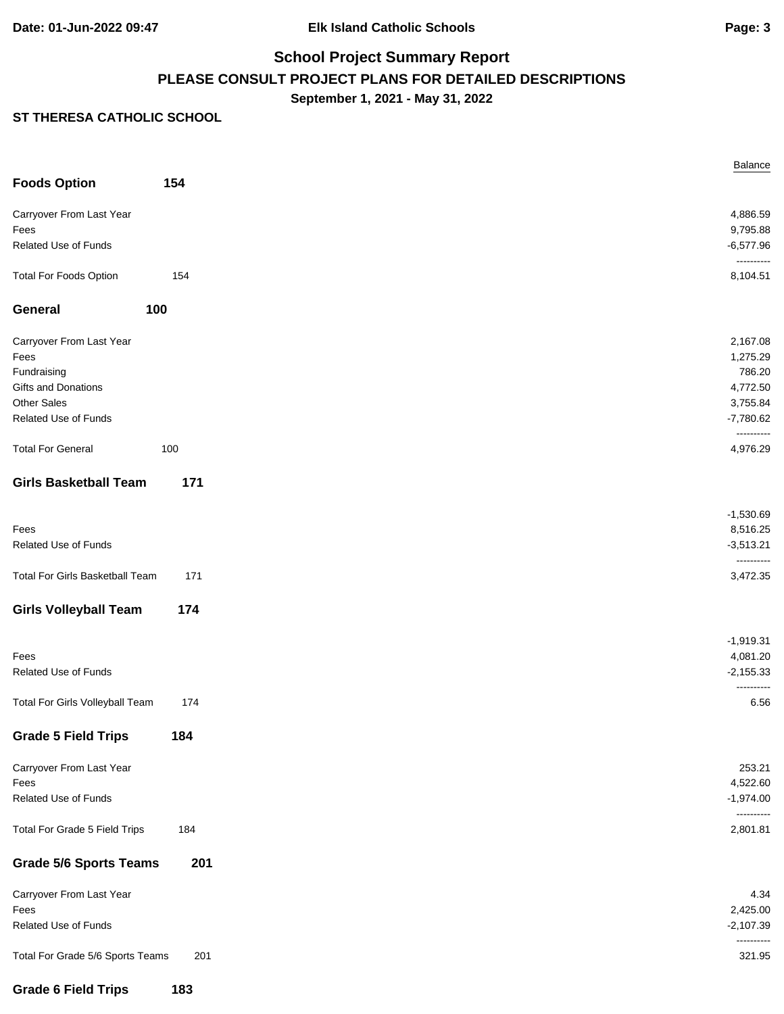# **School Project Summary Report PLEASE CONSULT PROJECT PLANS FOR DETAILED DESCRIPTIONS September 1, 2021 - May 31, 2022**

|                                        |     | Balance                   |
|----------------------------------------|-----|---------------------------|
| <b>Foods Option</b>                    | 154 |                           |
| Carryover From Last Year               |     | 4,886.59                  |
| Fees                                   |     | 9,795.88                  |
| Related Use of Funds                   |     | $-6,577.96$<br>---------- |
| <b>Total For Foods Option</b>          | 154 | 8,104.51                  |
| 100<br>General                         |     |                           |
| Carryover From Last Year               |     | 2,167.08                  |
| Fees                                   |     | 1,275.29                  |
| Fundraising                            |     | 786.20                    |
| Gifts and Donations                    |     | 4,772.50                  |
| <b>Other Sales</b>                     |     | 3,755.84                  |
| Related Use of Funds                   |     | $-7,780.62$<br>---------- |
| <b>Total For General</b>               | 100 | 4,976.29                  |
| <b>Girls Basketball Team</b>           | 171 |                           |
|                                        |     | $-1,530.69$               |
| Fees                                   |     | 8,516.25                  |
| Related Use of Funds                   |     | $-3,513.21$               |
| <b>Total For Girls Basketball Team</b> | 171 | ----------<br>3,472.35    |
| <b>Girls Volleyball Team</b>           | 174 |                           |
|                                        |     | $-1,919.31$               |
| Fees                                   |     | 4,081.20                  |
| Related Use of Funds                   |     | $-2,155.33$<br>---------  |
| Total For Girls Volleyball Team        | 174 | 6.56                      |
| <b>Grade 5 Field Trips</b>             | 184 |                           |
| Carryover From Last Year               |     | 253.21                    |
| Fees                                   |     | 4,522.60                  |
| Related Use of Funds                   |     | $-1,974.00$<br>---------- |
| Total For Grade 5 Field Trips          | 184 | 2,801.81                  |
| <b>Grade 5/6 Sports Teams</b>          | 201 |                           |
| Carryover From Last Year               |     | 4.34                      |
| Fees                                   |     | 2,425.00                  |
| Related Use of Funds                   |     | $-2,107.39$<br>---------- |
| Total For Grade 5/6 Sports Teams       | 201 | 321.95                    |
| <b>Grade 6 Field Trips</b>             | 183 |                           |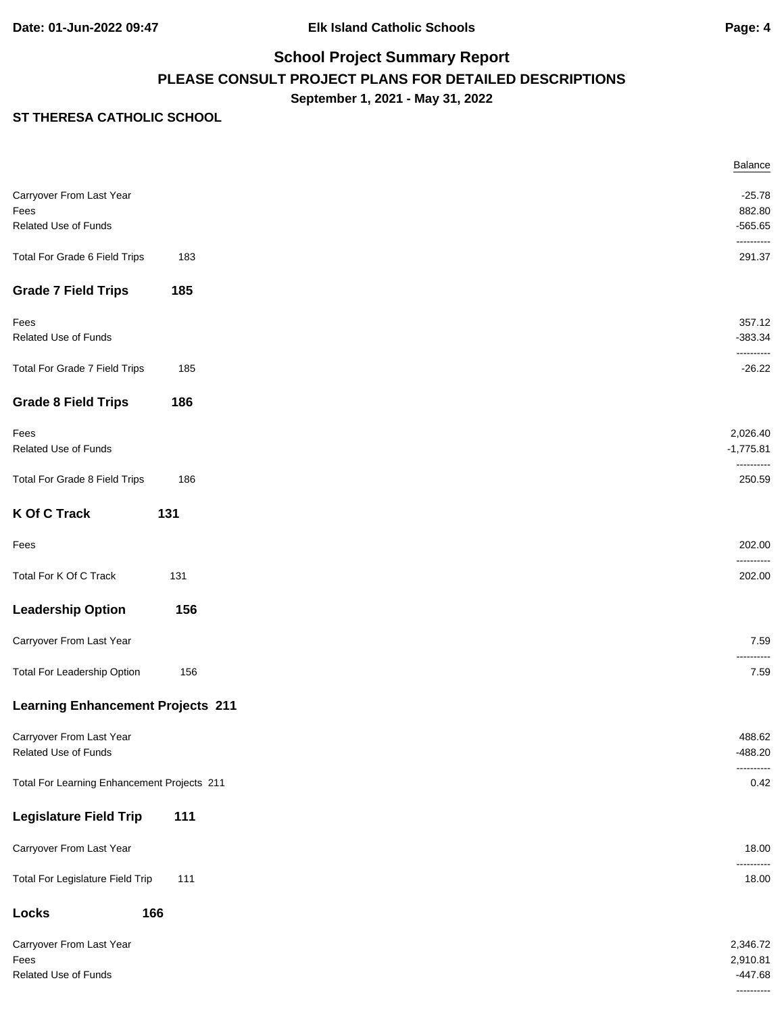# **School Project Summary Report PLEASE CONSULT PROJECT PLANS FOR DETAILED DESCRIPTIONS September 1, 2021 - May 31, 2022**

|                                             |     | <b>Balance</b>          |
|---------------------------------------------|-----|-------------------------|
| Carryover From Last Year                    |     | $-25.78$                |
| Fees                                        |     | 882.80                  |
| Related Use of Funds                        |     | $-565.65$               |
|                                             |     | ----------              |
| Total For Grade 6 Field Trips               | 183 | 291.37                  |
| <b>Grade 7 Field Trips</b>                  | 185 |                         |
|                                             |     | 357.12                  |
| Fees                                        |     |                         |
| Related Use of Funds                        |     | $-383.34$<br>---------- |
| Total For Grade 7 Field Trips               | 185 | $-26.22$                |
| <b>Grade 8 Field Trips</b>                  | 186 |                         |
| Fees                                        |     | 2,026.40                |
| Related Use of Funds                        |     | $-1,775.81$             |
|                                             |     | ----------              |
| Total For Grade 8 Field Trips               | 186 | 250.59                  |
| <b>K Of C Track</b>                         | 131 |                         |
| Fees                                        |     | 202.00<br>----------    |
| Total For K Of C Track                      | 131 | 202.00                  |
| <b>Leadership Option</b>                    | 156 |                         |
| Carryover From Last Year                    |     | 7.59<br>----------      |
| Total For Leadership Option                 | 156 | 7.59                    |
| <b>Learning Enhancement Projects 211</b>    |     |                         |
| Carryover From Last Year                    |     | 488.62                  |
| Related Use of Funds                        |     | $-488.20$               |
|                                             |     | ----------              |
| Total For Learning Enhancement Projects 211 |     | 0.42                    |
| <b>Legislature Field Trip</b>               | 111 |                         |
| Carryover From Last Year                    |     | 18.00<br>----------     |
| Total For Legislature Field Trip            | 111 | 18.00                   |
| Locks                                       | 166 |                         |
| Carryover From Last Year                    |     | 2,346.72                |
| Fees                                        |     | 2,910.81                |
| Related Use of Funds                        |     | $-447.68$               |
|                                             |     |                         |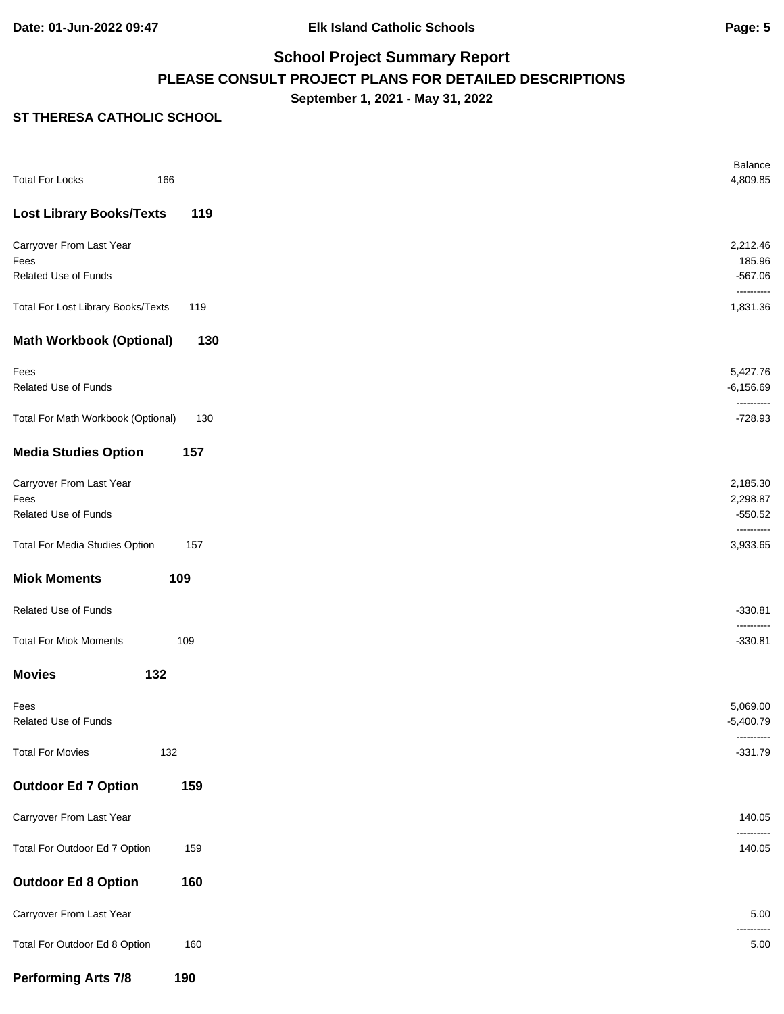# **School Project Summary Report PLEASE CONSULT PROJECT PLANS FOR DETAILED DESCRIPTIONS September 1, 2021 - May 31, 2022**

| <b>Total For Locks</b>                | 166 |  |
|---------------------------------------|-----|--|
| <b>Lost Library Books/Texts</b>       | 119 |  |
| Carryover From Last Year              |     |  |
| Fees<br>Related Use of Funds          |     |  |
| Total For Lost Library Books/Texts    | 119 |  |
| <b>Math Workbook (Optional)</b>       | 130 |  |
| Fees                                  |     |  |
| Related Use of Funds                  |     |  |
| Total For Math Workbook (Optional)    | 130 |  |
| <b>Media Studies Option</b>           | 157 |  |
| Carryover From Last Year              |     |  |
| Fees<br>Related Use of Funds          |     |  |
|                                       |     |  |
| <b>Total For Media Studies Option</b> | 157 |  |
| <b>Miok Moments</b>                   | 109 |  |
| Related Use of Funds                  |     |  |
| <b>Total For Miok Moments</b>         | 109 |  |
| <b>Movies</b>                         | 132 |  |
| Fees                                  |     |  |
| Related Use of Funds                  |     |  |
| <b>Total For Movies</b>               | 132 |  |
| <b>Outdoor Ed 7 Option</b>            | 159 |  |
| Carryover From Last Year              |     |  |
| Total For Outdoor Ed 7 Option         | 159 |  |
| <b>Outdoor Ed 8 Option</b>            | 160 |  |
| Carryover From Last Year              |     |  |
| Total For Outdoor Ed 8 Option         | 160 |  |
| <b>Performing Arts 7/8</b>            | 190 |  |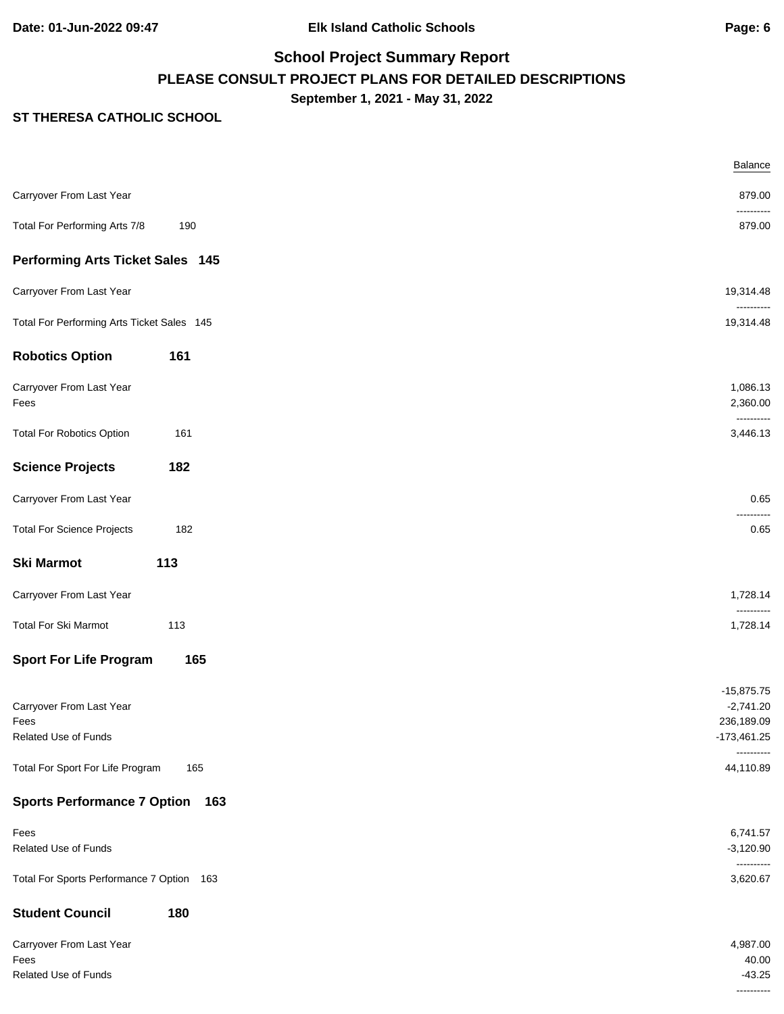# **School Project Summary Report PLEASE CONSULT PROJECT PLANS FOR DETAILED DESCRIPTIONS September 1, 2021 - May 31, 2022**

|                                                          | Balance                                                    |
|----------------------------------------------------------|------------------------------------------------------------|
| Carryover From Last Year                                 | 879.00                                                     |
| Total For Performing Arts 7/8<br>190                     | <br>879.00                                                 |
| <b>Performing Arts Ticket Sales 145</b>                  |                                                            |
| Carryover From Last Year                                 | 19,314.48                                                  |
| Total For Performing Arts Ticket Sales 145               | 19,314.48                                                  |
| <b>Robotics Option</b><br>161                            |                                                            |
| Carryover From Last Year<br>Fees                         | 1,086.13<br>2,360.00<br>----------                         |
| <b>Total For Robotics Option</b><br>161                  | 3,446.13                                                   |
| <b>Science Projects</b><br>182                           |                                                            |
| Carryover From Last Year                                 | 0.65                                                       |
| <b>Total For Science Projects</b><br>182                 | 0.65                                                       |
| <b>Ski Marmot</b><br>113                                 |                                                            |
| Carryover From Last Year                                 | 1,728.14                                                   |
| Total For Ski Marmot<br>113                              | 1,728.14                                                   |
| 165<br><b>Sport For Life Program</b>                     |                                                            |
| Carryover From Last Year<br>Fees<br>Related Use of Funds | $-15,875.75$<br>$-2,741.20$<br>236,189.09<br>$-173,461.25$ |
| Total For Sport For Life Program<br>165                  | 44,110.89                                                  |
| <b>Sports Performance 7 Option</b><br>163                |                                                            |
| Fees<br>Related Use of Funds                             | 6,741.57<br>$-3,120.90$                                    |
| Total For Sports Performance 7 Option 163                | ----------<br>3,620.67                                     |
| <b>Student Council</b><br>180                            |                                                            |
| Carryover From Last Year<br>Fees<br>Related Use of Funds | 4,987.00<br>40.00<br>$-43.25$                              |
|                                                          | ----------                                                 |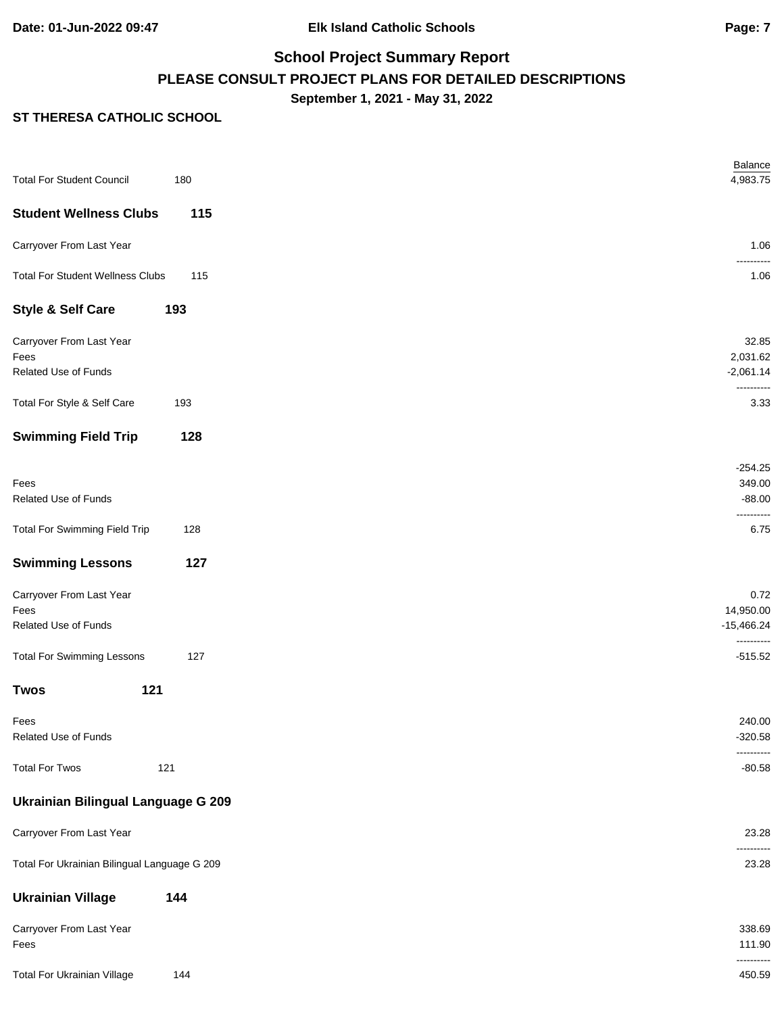# **School Project Summary Report PLEASE CONSULT PROJECT PLANS FOR DETAILED DESCRIPTIONS September 1, 2021 - May 31, 2022**

| <b>Total For Student Council</b>                         | 180 | Balance<br>4,983.75               |
|----------------------------------------------------------|-----|-----------------------------------|
| <b>Student Wellness Clubs</b>                            | 115 |                                   |
| Carryover From Last Year                                 |     | 1.06                              |
| <b>Total For Student Wellness Clubs</b>                  | 115 | .<br>1.06                         |
| <b>Style &amp; Self Care</b>                             | 193 |                                   |
| Carryover From Last Year<br>Fees<br>Related Use of Funds |     | 32.85<br>2,031.62<br>$-2,061.14$  |
|                                                          |     | ----------                        |
| Total For Style & Self Care                              | 193 | 3.33                              |
| <b>Swimming Field Trip</b>                               | 128 |                                   |
| Fees<br>Related Use of Funds                             |     | $-254.25$<br>349.00<br>$-88.00$   |
| <b>Total For Swimming Field Trip</b>                     | 128 | ----------<br>6.75                |
| <b>Swimming Lessons</b>                                  | 127 |                                   |
| Carryover From Last Year<br>Fees<br>Related Use of Funds |     | 0.72<br>14,950.00<br>$-15,466.24$ |
| <b>Total For Swimming Lessons</b>                        | 127 | ----------<br>$-515.52$           |
| 121<br><b>Twos</b>                                       |     |                                   |
| Fees<br>Related Use of Funds                             |     | 240.00<br>$-320.58$<br>---------- |
| <b>Total For Twos</b><br>121                             |     | $-80.58$                          |
| Ukrainian Bilingual Language G 209                       |     |                                   |
| Carryover From Last Year                                 |     | 23.28                             |
| Total For Ukrainian Bilingual Language G 209             |     | ----------<br>23.28               |
| <b>Ukrainian Village</b>                                 | 144 |                                   |
| Carryover From Last Year<br>Fees                         |     | 338.69<br>111.90                  |
| <b>Total For Ukrainian Village</b>                       | 144 | ----------<br>450.59              |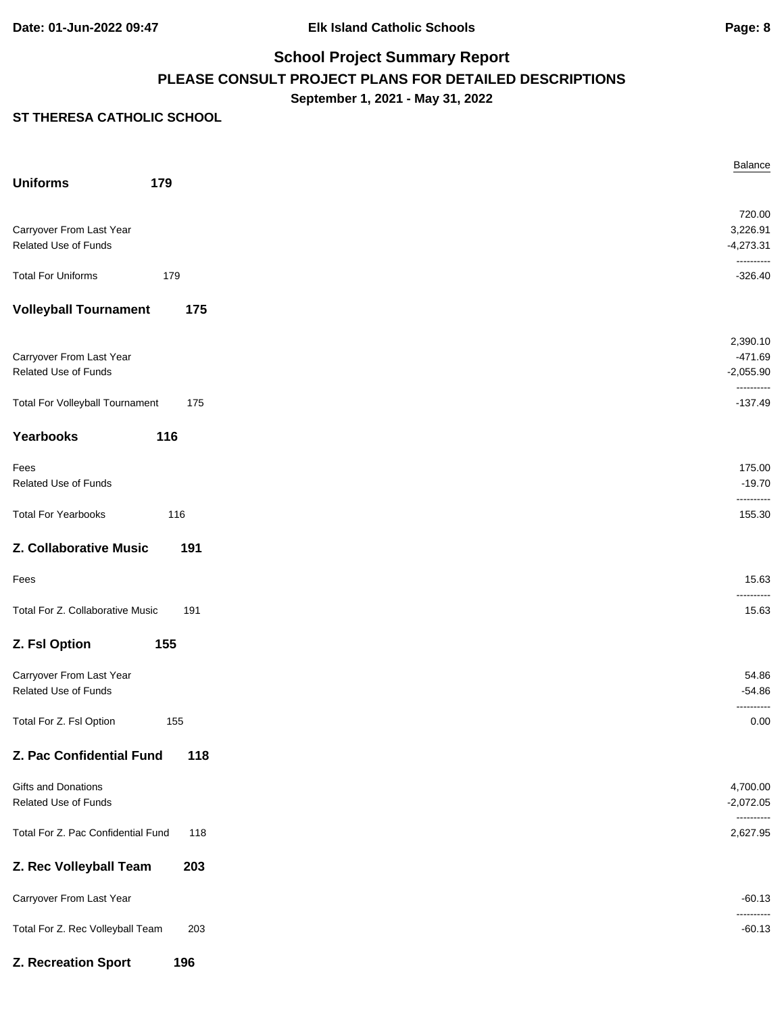# **School Project Summary Report PLEASE CONSULT PROJECT PLANS FOR DETAILED DESCRIPTIONS September 1, 2021 - May 31, 2022**

|                                        |     | Balance                   |
|----------------------------------------|-----|---------------------------|
| <b>Uniforms</b>                        | 179 |                           |
|                                        |     | 720.00                    |
| Carryover From Last Year               |     | 3,226.91                  |
| Related Use of Funds                   |     | $-4,273.31$<br>---------- |
| <b>Total For Uniforms</b>              | 179 | $-326.40$                 |
| <b>Volleyball Tournament</b>           | 175 |                           |
|                                        |     | 2,390.10                  |
| Carryover From Last Year               |     | $-471.69$                 |
| Related Use of Funds                   |     | $-2,055.90$               |
| <b>Total For Volleyball Tournament</b> | 175 | ----------<br>$-137.49$   |
| Yearbooks                              | 116 |                           |
| Fees                                   |     | 175.00                    |
| Related Use of Funds                   |     | $-19.70$                  |
|                                        |     | ----------                |
| <b>Total For Yearbooks</b>             | 116 | 155.30                    |
| Z. Collaborative Music                 | 191 |                           |
| Fees                                   |     | 15.63                     |
| Total For Z. Collaborative Music       | 191 | .<br>15.63                |
| Z. Fsl Option                          | 155 |                           |
| Carryover From Last Year               |     | 54.86                     |
| Related Use of Funds                   |     | $-54.86$                  |
|                                        |     | .                         |
| Total For Z. Fsl Option                | 155 | 0.00                      |
| Z. Pac Confidential Fund               | 118 |                           |
| Gifts and Donations                    |     | 4,700.00                  |
| Related Use of Funds                   |     | $-2,072.05$               |
| Total For Z. Pac Confidential Fund     | 118 | ----------<br>2,627.95    |
| Z. Rec Volleyball Team                 | 203 |                           |
| Carryover From Last Year               |     | $-60.13$                  |
| Total For Z. Rec Volleyball Team       | 203 | -------<br>$-60.13$       |
| Z. Recreation Sport                    | 196 |                           |